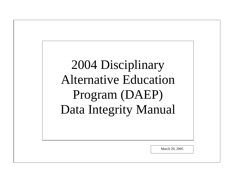*This Page Intentionally Left Blank*  2004 Disciplinary Alternative Education Program (DAEP) Data Integrity Manual

March 29, 2005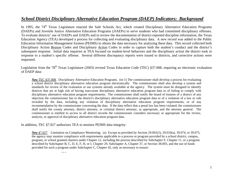# *School District Disciplinary Alternative Education Program (DAEP) Indicators: Background*

In 1995, the 74<sup>th</sup> Texas Legislature enacted the Safe Schools Act, which created Disciplinary Alternative Education Programs (DAEPs) and Juvenile Justice Alternative Education Programs (JJAEPs) to serve students who had committed disciplinary offenses. To evaluate districts' use of DAEPs and JJAEPs and to review the documentation of district-reported discipline information, the Texas Education Agency (TEA) developed a process for collecting and evaluating disciplinary data. A new record was added to the Public Education Information Management System (PEIMS) to obtain the data necessary for analyzing these data. This record collected both Disciplinary Action *Reason* Codes and Disciplinary *Action* Codes in order to capture both the student's conduct and the district's subsequent response. Initial data inquiries at TEA focused on student-level behaviors and the disciplinary action the district took in response to a student's specific offense. Several different discrepancy reports were issued to districts, and corrective actions were requested.

Legislation from the  $78<sup>th</sup>$  Texas Legislature (2003) revised Texas Education Code (TEC) §37.008, requiring an electronic evaluation of DAEP data:

*New* TEC §37.008. Disciplinary Alternative Education Programs. (m-1) The commissioner shall develop a process for evaluating a school district disciplinary alternative education program electronically. The commissioner shall also develop a system and standards for review of the evaluation or use systems already available at the agency. The system must be designed to identify districts that are at high risk of having inaccurate disciplinary alternative education program data or of failing to comply with disciplinary alternative education program requirements. The commissioner shall notify the board of trustees of a district of any objection the commissioner has to the district's disciplinary alternative education program data or of a violation of a law or rule revealed by the data, including any violation of disciplinary alternative education program requirements, or of any recommendation by the commissioner concerning the data. If the data reflect that a penal law has been violated, the commissioner shall notify the county attorney, district attorney, or criminal district attorney, as appropriate, and the attorney general. The commissioner is entitled to access to all district records the commissioner considers necessary or appropriate for the review, analysis, or approval of disciplinary alternative education program data.

In addition, TEC §7.027 authorizes TEA to monitor PEIMS data integrity:

*New* §7.027. Limitation on Compliance Monitoring. (a) Except as provided by Section 29.001(5), 29.010(a), 39.074, or 39.075, the agency may monitor compliance with requirements applicable to a process or program provided by a school district, campus, program, or school granted charters under Chapter 12, including the process described by Subchapter F, Chapter 11, or a program described by Subchapter B, C, D, E, F, H, or I, Chapter 29, Subchapter A, Chapter 37, or Section 38.003, and the use of funds provided for such a program under Subchapter C, Chapter 42, only as necessary to ensure:

**. . .**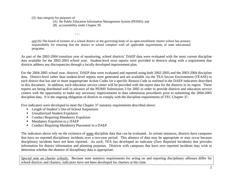(3) data integrity for purposes of:

(A) the Public Education Information Management System (PEIMS); and

(B) accountability under Chapter 39.

**. . .** 

*and* (b) The board of trustees of a school district or the governing body of an open-enrollment charter school has primary responsibility for ensuring that the district or school complies with all applicable requirements of state educational programs.

As part of the 2003-2004 transition year of monitoring, school districts' DAEP data were evaluated with the most current discipline data available for the 2002-2003 school year. Student-level error reports were provided to districts along with a requirement that districts address any discrepancies through a locally developed improvement plan.

For the 2004-2005 school year, districts' DAEP data were evaluated and reported using both 2002-2003 and the 2003-2004 discipline data. District-level rather than student-level reports were generated and are available via the TEA Secure Environment (TEASE) to each district that has one or more inappropriate Action Codes for a specific Reason Code as outlined in the DAEP indicators described in this document. In addition, each education service center will be provided with the report data for the districts in its region. These reports are being distributed well in advance of the PEIMS Submission 3 for 2005 in order to provide districts and education service centers with the opportunity to make any necessary improvements in data submission procedures prior to submitting the 2004-2005 discipline data. It is the ongoing obligation of districts to comply with the discipline requirements of TEC Chapter 37.

Five indicators were developed to meet the Chapter 37 statutory requirements described above:

- Length of Student's Out-of-School Suspension
- Unauthorized Student Expulsion
- Conduct Requiring Mandatory Expulsion
- $\blacksquare$ Mandatory Expulsion to a JJAEP
- Conduct Requiring Mandatory Placement in a DAEP

The indicators above rely on the existence of *some* discipline data that can be evaluated. In certain instances, districts have campuses that have no reported disciplinary incidents over a two-year period. This absence of data may be appropriate *or* may occur because disciplinary incidents have not been reported. As such, TEA has developed an indicator (Zero Reported Incidents) that provides information for district information and planning purposes. Districts with campuses that have zero reported incidents may wish to determine whether the absence of disciplinary data is appropriate.

*Special note on charter schools:* Because state statutory requirements for acting on and reporting disciplinary offenses differ for school districts and charters, indicators have not been developed for charters at this time.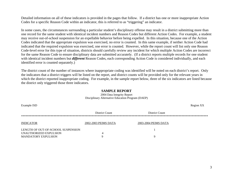Detailed information on all of these indicators is provided in the pages that follow. If a district has one or more inappropriate Action Codes for a specific Reason Code within an indicator, this is referred to as "triggering" an indicator.

In some cases, the circumstances surrounding a particular student's disciplinary offense may result in a district submitting more than one record for the same student with identical incident numbers and Reason Codes but different Action Codes. For example, a student may receive out-of-school suspension for an expellable behavior before being expelled. In this situation, because one of the Action Codes indicated that the appropriate expulsion was exercised, no error is counted. In this same example, if neither Action Code had indicated that the required expulsion was exercised, one error is counted. However, while the report count will list only one Reason Code-level error for this type of situation, districts should carefully review any incident for which multiple Action Codes are incorrect for the same Reason Code to ensure disciplinary data are submitted accurately. (If a district reports multiple records for one student with identical incident numbers but *different* Reason Codes, each corresponding Action Code is considered individually, and each identified error is counted separately.)

The district count of the number of instances where inappropriate coding was identified will be noted on each district's report. Only the indicators that a district triggers will be listed on the report, and district counts will be provided only for the relevant years in which the district reported inappropriate coding. For example, in the sample report below, three of the six indicators are listed because the district only triggered those three indicators.

#### **SAMPLE REPORT**

Example ISD Region XX District Count District Count \*\*\*\*\*\*\*\*\*\*\*\*\*\*\*\*\*\*\*\*\*\*\*\*\*\*\*\*\*\*\*\*\*\*\*\*\*\*\*\*\*\*\*\*\*\*\*\*\*\*\*\*\*\*\*\*\*\*\*\*\*\*\*\*\*\*\*\*\*\*\*\*\*\*\*\*\*\*\*\*\*\*\*\*\*\*\*\*\*\*\*\*\*\*\*\*\*\*\*\*\*\*\*\*\*\*\*\*\*\*\*\*\*\*\*\*\*\*\*\*\*\*\*\*\*\*\*INDICATOR 2002-2003 PEIMS DATA 2003-2004 PEIMS DATA LENGTH OF OUT-OF-SCHOOL SUSPENSION 1 UNAUTHORIZED EXPULSION 4 MANDATORY EXPULSION 9

2004 Data Integrity Report Disciplinary Alternative Education Program (DAEP)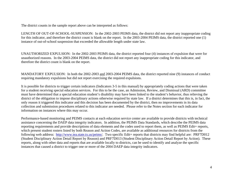The district counts in the sample report above can be interpreted as follows:

LENGTH OF OUT-OF-SCHOOL-SUSPENSION: In the 2002-2003 PEIMS data, the district did not report any inappropriate coding for this indicator, and therefore the district count is blank on the report. In the 2003-2004 PEIMS data, the district reported one (1) instance of out-of-school suspension that exceeded the allowable length under state law.

UNAUTHORIZED EXPULSION: In the 2002-2003 PEIMS data, the district reported four (4) instances of expulsion that were for unauthorized reasons. In the 2003-2004 PEIMS data, the district did not report any inappropriate coding for this indicator, and therefore the district count is blank on the report.

MANDATORY EXPULSION: In both the 2002-2003 and 2003-2004 PEIMS data, the district reported nine (9) instances of conduct requiring mandatory expulsions but did not report exercising the required expulsions.

It is possible for districts to trigger certain indicators (Indicators 3-5 in this manual) by appropriately coding actions that were taken for a student receiving special education services. For this to be the case, an Admission, Review, and Dismissal (ARD) committee must have determined that a special education student's disability may have been linked to the student's behavior, thus relieving the district of the obligation to impose disciplinary actions otherwise required by state law. If a district determines that this is, in fact, the only reason it triggered this indicator and this decision has been documented by the district, then no improvements in its data collection and submission procedures related to this indicator are needed. Please refer to the Notes section for each indicator for information on instances where this may occur.

Performance-based monitoring and PEIMS contacts at each education service center are available to provide districts with technical assistance concerning the DAEP data integrity indicators. In addition, the PEIMS Data Standards, which describe the PEIMS data reporting requirements and provide descriptions of data elements and the codes used to report them, as well as PEIMS Edit+ reports, which present student rosters listed by both Reason and Action Codes, are available as additional resources for districts from the following web address: <http://www.tea.state.tx.us/peims/>. Two specific Edit+ reports that districts may find helpful are: PRF7D012 (Student Disciplinary Action Detail Report by Reason) and PRF7D013 (Student Disciplinary Action Detail Report by Action). These reports, along with other data and reports that are available locally to districts, can be used to identify and analyze the specific instances that caused a district to trigger one or more of the 2004 DAEP data integrity indicators.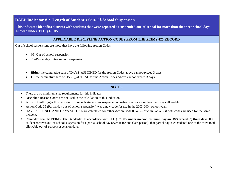### **DAEP Indicator #1: Length of Student's Out-Of-School Suspension**

**This indicator identifies districts with students that were reported as suspended out-of-school for more than the three school days allowed under TEC §37.005.** 

### **APPLICABLE DISCIPLINE ACTION CODES FROM THE PEIMS 425 RECORD**

Out of school suspensions are those that have the following Action Codes:

- 05=Out-of-school suspension
- 25=Partial day out-of-school suspension
- $\bullet$ **Either** the cumulative sum of DAYS\_ASSIGNED for the Action Codes above cannot exceed 3 days
- •**Or** the cumulative sum of DAYS ACTUAL for the Action Codes Above cannot exceed 3 days.

- $\blacksquare$ There are no minimum size requirements for this indicator.
- Discipline Reason Codes are not used in the calculation of this indicator.
- Ш A district will trigger this indicator if it reports students as suspended out-of-school for more than the 3 days allowable.
- Action Code 25 (Partial day out-of-school suspension) was a new code for use in the 2003-2004 school year.
- DAYS ASSIGNED AND DAYS ACTUAL are calculated for either Action Code 05 or 25 or cumulatively if both codes are used for the same incident.
- $\blacksquare$  Reminder from the PEIMS Data Standards: In accordance with TEC §37.005, **under no circumstance may an OSS exceed (3) three days.** If a student receives out-of-school suspension for a partial school day (even if for one class period), that partial day is considered one of the three total allowable out-of-school suspension days.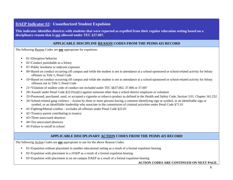### **DAEP Indicator #2: Unauthorized Student Expulsion**

**This indicator identifies districts with students that were reported as expelled from their regular education setting based on a disciplinary reason that is not allowed under TEC §37.007.** 

### **APPLICABLE DISCIPLINE REASON CODES FROM THE PEIMS 425 RECORD**

The following Reason Codes are **not** appropriate for expulsion:

- ▙ 01=Disruptive behavior
- ٠ 02=Conduct punishable as a felony
- $\blacksquare$ 07=Public lewdness or indecent exposure
- Г 09=Based on conduct occurring off campus and while the student is not in attendance at a school-sponsored or school-related activity for felony offenses in Title 5, Penal Code
- $\blacksquare$  10=Based on conduct occurring off campus and while the student is not in attendance at a school-sponsored or school-related activity for felony offenses not in Title 5, Penal Code
- ▙ 21=Violation of student code of conduct not included under TEC §§37.002, 37.006 or 37.007
- $\blacksquare$ 28=Assault under Penal Code §22.01(a)(1) against someone other than a school district employee or volunteer
- Г 33=Possessed, purchased, used, or accepted a cigarette or tobacco product as defined in the Health and Safety Code, Section 3.01, Chapter 161.252
- $\blacksquare$  34=School-related gang violence – Action by three or more persons having a common identifying sign or symbol, or an identifiable sign or symbol, or an identifiable leadership who associate in the commission of criminal activities under Penal Code §71.01
- ٠ 41=Fighting/Mutual combat – excludes all offenses under Penal Code §22.01
- Г 42=Truancy-parent contributing to truancy
- Г 43=Three unexcused absences
- ٠ 44=Ten unexcused absences
- Г 45=Failure to enroll in school

### **APPLICABLE DISCIPLINARY ACTION CODES FROM THE PEIMS 425 RECORD**

The following Action Codes are **not** appropriate to use for the above Reason Codes:

- Г  $01$ =Expulsion without placement in another educational setting as a result of a formal expulsion hearing
- ٠ 02=Expulsion with placement in a JJAEP as a result of a formal expulsion hearing
- Г 03=Expulsion with placement in an on-campus DAEP as a result of a formal expulsion hearing

### **ACTION CODES ARE CONTINUED ON NEXT PAGE.**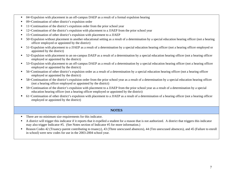- ٠ 04=Expulsion with placement in an off-campus DAEP as a result of a formal expulsion hearing
- Г 09=Continuation of other district's expulsion order
- Г 11=Continuation of the district's expulsion order from the prior school year
- ▙ 12=Continuation of the district's expulsion with placement to a JJAEP from the prior school year
- ٠ 15=Continuation of other district's expulsion with placement to a JJAEP
- Г 50=Expulsion without placement in another educational setting as a result of a determination by a special education hearing officer (not a hearing officer employed or appointed by the district)
- 51=Expulsion with placement to a JJAEP as a result of a determination by a special education hearing officer (not a hearing officer employed or appointed by the district)
- $\blacksquare$  52=Expulsion with placement to an on-campus DAEP as a result of a determination by a special education hearing officer (not a hearing officer employed or appointed by the district)
- $\blacksquare$  53=Expulsion with placement to an off-campus DAEP as a result of a determination by a special education hearing officer (not a hearing officer employed or appointed by the district)
- $\blacksquare$  56=Continuation of other district's expulsion order as a result of a determination by a special education hearing officer (not a hearing officer employed or appointed by the district)
- ٠ 58=Continuation of the district's expulsion order from the prior school year as a result of a determination by a special education hearing officer (not a hearing officer employed or appointed by the district)
- . 59=Continuation of the district's expulsion with placement to a JJAEP from the prior school year as a result of a determination by a special education hearing officer (not a hearing officer employed or appointed by the district)
- $\blacksquare$  61=Continuation of other district's expulsion with placement to a JJAEP as a result of a determination of a hearing officer (not a hearing officer employed or appointed by the district)

- Г There are no minimum size requirements for this indicator.
- Г A district will trigger this indicator if it reports that it expelled a student for a reason that is not authorized. A district that triggers this indicator may also trigger Indicator #5. (See Notes section of Indicator #5 for more information.)
- $\blacksquare$  Reason Codes 42 (Truancy-parent contributing to truancy), 43 (Three unexcused absences), 44 (Ten unexcused absences), and 45 (Failure to enroll in school) were new codes for use in the 2003-2004 school year.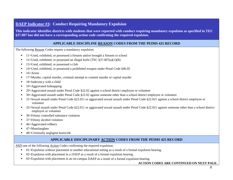## **DAEP Indicator #3: Conduct Requiring Mandatory Expulsion**

**This indicator identifies districts with students that were reported with conduct requiring mandatory expulsion as specified in TEC §37.007 but did not have a corresponding action code confirming the required expulsion.** 

### **APPLICABLE DISCIPLINE REASON CODES FROM THE PEIMS 425 RECORD**

The following Reason Codes require a mandatory expulsion:

- ▙ 11=Used, exhibited, or possessed a firearm and/or brought a firearm to school
- ٠ 12=Used, exhibited, or possessed an illegal knife (TEC §37.007(a)(1)(B)
- Г 13=Used, exhibited, or possessed a club
- Г 14=Used, exhibited, or possessed a prohibited weapon under Penal Code §46.05
- ▙  $16=Arson$
- ٠ 17=Murder, capital murder, criminal attempt to commit murder or capital murder
- Г 18=Indecency with a child
- $\blacksquare$ 19=Aggravated kidnapping
- ▙ 29=Aggravated assault under Penal Code §22.02 against a school district employee or volunteer
- ٠ 30=Aggravated assault under Penal Code §22.02 against someone other than a school district employee or volunteer
- Г 31=Sexual assault under Penal Code §22.011 or aggravated sexual assault under Penal Code §22.021 against a school district employee or volunteer
- ٠ 32=Sexual assault under Penal Code §22.011 or aggravated sexual assault under Penal Code §22.021 against someone other than a school district employee or volunteer
- Г 36=Felony controlled substance violation
- Г 37=Felony alcohol violation
- ٠ 46=Aggravated robbery
- Г 47=Manslaughter
- ▙ 48=Criminally negligent homicide

### **APPLICABLE DISCIPLINARY ACTION CODES FROM THE PEIMS 425 RECORD**

*AND* one of the following Action Codes confirming the required expulsion:

- Г  $01 =$ Expulsion without placement in another educational setting as a result of a formal expulsion hearing.
- Г 02=Expulsion with placement in a JJAEP as a result of a formal expulsion hearing.
- ٠ 03=Expulsion with placement in an on-campus DAEP as a result of a formal expulsion hearing.

#### **ACTION CODES ARE CONTINUED ON NEXT PAGE.**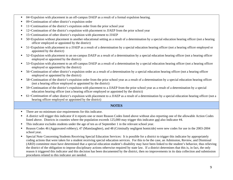- ٠ 04=Expulsion with placement in an off-campus DAEP as a result of a formal expulsion hearing.
- Г 09=Continuation of other district's expulsion order
- Г 11=Continuation of the district's expulsion order from the prior school year
- ▙ 12=Continuation of the district's expulsion with placement to JJAEP from the prior school year
- ٠ 15=Continuation of other district's expulsion with placement to JJAEP
- Г 50=Expulsion without placement in another educational setting as a result of a determination by a special education hearing officer (not a hearing officer employed or appointed by the district)
- 51=Expulsion with placement to a JJAEP as a result of a determination by a special education hearing officer (not a hearing officer employed or appointed by the district)
- $\blacksquare$  52=Expulsion with placement to an on-campus DAEP as a result of a determination by a special education hearing officer (not a hearing officer employed or appointed by the district)
- $\blacksquare$  53=Expulsion with placement to an off-campus DAEP as a result of a determination by a special education hearing officer (not a hearing officer employed or appointed by the district)
- $\blacksquare$  56=Continuation of other district's expulsion order as a result of a determination by a special education hearing officer (not a hearing officer employed or appointed by the district)
- ٠ 58=Continuation of the district's expulsion order from the prior school year as a result of a determination by a special education hearing officer (not a hearing officer employed or appointed by the district)
- $\blacksquare$  59=Continuation of the district's expulsion with placement to a JJAEP from the prior school year as a result of a determination by a special education hearing officer (not a hearing officer employed or appointed by the district)
- 61=Continuation of other district's expulsion with placement to a JJAEP as a result of a determination by a special education hearing officer (not a hearing officer employed or appointed by the district)

- ٠ There are no minimum size requirements for this indicator.
- Г A district will trigger this indicator if it reports one or more Reason Codes listed above without also reporting one of the allowable Action Codes listed above. Districts in counties where the population exceeds 125,000 may trigger this indicator and also Indicator #4.
- ▙ This indicator excludes students under the age of ten as of September 1 in the relevant school year.
- ٠ Reason Codes 46 (Aggravated robbery), 47 (Manslaughter), and 48 (Criminally negligent homicide) were new codes for use in the 2003-2004 school year.
- $\blacksquare$  Special Note Concerning Students Receiving Special Education Services: It is possible for a district to trigger this indicator by appropriately coding actions that were taken for a student receiving special education services. For this to be the case, an Admission, Review, and Dismissal (ARD) committee must have determined that a special education student's disability may have been linked to the student's behavior, thus relieving the district of the obligation to impose disciplinary actions otherwise required by state law. If a district determines that this is, in fact, the only reason it triggered this indicator and this decision has been documented by the district, then no improvements in its data collection and submission procedures related to this indicator are needed.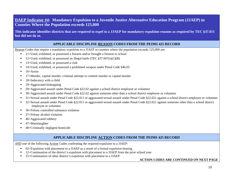## **DAEP Indicator #4: Mandatory Expulsion to a Juvenile Justice Alternative Education Program (JJAEP) in Counties Where the Population exceeds 125,000**

**This indicator identifies districts that are required to expel to a JJAEP for mandatory expulsion reasons as required by TEC §37.011 but did not do so.** 

### **APPLICABLE DISCIPLINE REASON CODES FROM THE PEIMS 425 RECORD**

Reason Codes that require a mandatory expulsion to a JJAEP in counties where the population exceeds 125,000 are:

- $\blacksquare$ 11=Used, exhibited, or possessed a firearm and/or brought a firearm to school
- х 12=Used, exhibited, or possessed an illegal knife (TEC  $\S 37.007(a)(1)(B)$ )
- л 13=Used, exhibited, or possessed a club
- $\blacksquare$ 14=Used, exhibited, or possessed a prohibited weapon under Penal Code §46.05
- 16=Arson
- х 17=Murder, capital murder, criminal attempt to commit murder or capital murder
- х 18=Indecency with a child
- Г 19=Aggravated kidnapping
- Г 29=Aggravated assault under Penal Code §22.02 against a school district employee or volunteer
- Е 30=Aggravated assault under Penal Code §22.02 against someone other than a school district employee or volunteer
- $\blacksquare$ 31=Sexual assault under Penal Code §22.011 or aggravated sexual assault under Penal Code §22.021 against a school district employee or volunteer
- $\blacksquare$  32=Sexual assault under Penal Code §22.011 or aggravated sexual assault under Penal Code §22.021 against someone other than a school district employee or volunteer
- $\blacksquare$ 36=Felony controlled substance violation
- Г 37=Felony alcohol violation
- Г 46=Aggravated robbery
- ▙ 47=Manslaughter
- ٠ 48=Criminally negligent homicide

### **APPLICABLE DISCIPLINE ACTION CODES FROM THE PEIMS 425 RECORD**

*AND* one of the following Action Codes confirming the required expulsion to a JJAEP:

- $\blacksquare$ 02=Expulsion with placement to a JJAEP as a result of a formal expulsion hearing
- $\blacksquare$ 12=Continuation of the district's expulsion with placement to a JJAEP from the prior school year
- $\blacksquare$ 15=Continuation of other district's expulsion with placement to a JJAEP

#### **ACTION CODES ARE CONTINUED ON NEXT PAGE**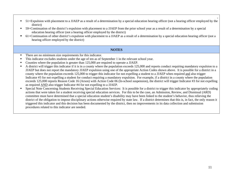- $\blacksquare$  51=Expulsion with placement to a JJAEP as a result of a determination by a special education hearing officer (not a hearing officer employed by the district)
- $\blacksquare$  59=Continuation of the district's expulsion with placement to a JJAEP from the prior school year as a result of a determination by a special education hearing officer (not a hearing officer employed by the district)
- $\blacksquare$  61=Continuation of other district's expulsion with placement to a JJAEP as a result of a determination by a special education hearing officer (not a hearing officer employed by the district)

- There are no minimum size requirements for this indicator.
- $\blacksquare$ This indicator excludes students under the age of ten as of September 1 in the relevant school year.
- $\blacksquare$ Counties where the population is greater than 125,000 are required to operate a JJAEP.
- $\blacksquare$  A district will trigger this indicator if it is in a county where the population exceeds 125,000 and reports conduct requiring mandatory expulsion to a JJAEP but does not report the mandatory JJAEP expulsion using one of the appropriate Action Codes shown above. It is possible for a district in a county where the population exceeds 125,000 to trigger this indicator for not expelling a student to a JJAEP when required and also trigger Indicator #3 for not expelling a student for conduct requiring a mandatory expulsion. For example, if a district in a county where the population exceeds 125,000 reports Reason Code 16 (Arson) with Action Code 06 (In-school suspension), the district will trigger Indicator #3 for not expelling as required AND also trigger Indicator #4 for not expelling to a JJAEP.
- $\blacksquare$  Special Note Concerning Students Receiving Special Education Services: It is possible for a district to trigger this indicator by appropriately coding actions that were taken for a student receiving special education services. For this to be the case, an Admission, Review, and Dismissal (ARD) committee must have determined that a special education student's disability may have been linked to the student's behavior, thus relieving the district of the obligation to impose disciplinary actions otherwise required by state law. If a district determines that this is, in fact, the only reason it triggered this indicator and this decision has been documented by the district, then no improvements in its data collection and submission procedures related to this indicator are needed.

**.**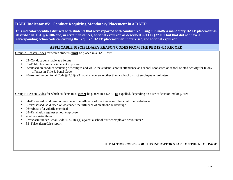### **DAEP Indicator #5: Conduct Requiring Mandatory Placement in a DAEP**

**This indicator identifies districts with students that were reported with conduct requiring** *minimally* **a mandatory DAEP placement as described in TEC §37.006 and, in certain instances, optional expulsion as described in TEC §37.007 but that did not have a corresponding action code confirming the required DAEP placement or, if exercised, the optional expulsion.** 

### **APPLICABLE DISCIPLINARY REASON CODES FROM THE PEIMS 425 RECORD**

Group A Reason Codes for which students **must** be placed in a DAEP are:

- 02=Conduct punishable as a felony
- 07=Public lewdness or indecent exposure
- 09=Based on conduct occurring off campus and while the student is not in attendance at a school-sponsored or school-related activity for felony offenses in Title 5, Penal Code
- **28**=Assault under Penal Code §22.01(a)(1) against someone other than a school district employee or volunteer

Group B Reason Codes for which students must **either** be placed in a DAEP **or** expelled, depending on district decision-making, are:

- 04=Possessed, sold, used or was under the influence of marihuana or other controlled substance
- 05=Possessed, sold, used or was under the influence of an alcoholic beverage
- 06=Abuse of a volatile chemical
- 08=Retaliation against school employee
- 26=Terroristic threat
- **27** = 27 = Assault under Penal Code  $\S 22.01(a)(1)$  against a school district employee or volunteer
- 35=False alarm/false report

### **THE ACTION CODES FOR THIS INDICATOR START ON THE NEXT PAGE.**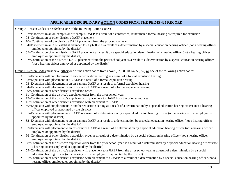## **APPLICABLE DISCIPLINARY ACTION CODES FROM THE PEIMS 425 RECORD**

Group A Reason Codes can *only* have one of the following Action Codes:

- $\blacksquare$ 07=Placement in an on-campus or off-campus DAEP as a result of a conference, rather than a formal hearing as required for expulsion
- $\blacksquare$ 08=Continuation of other district's DAEP placement
- 10= Continuation of the district's DAEP placement from the prior school year
- 54=Placement in an AEP established under TEC §37.008 as a result of a determination by a special education hearing officer (not a hearing officer employed or appointed by the district)
- $\blacksquare$  55=Continuation of other district's DAEP placement as a result by a special education determination of a hearing officer (not a hearing officer employed or appointed by the district)
- $\blacksquare$  57=Continuation of the district's DAEP placement from the prior school year as a result of a determination by a special education hearing officer (not a hearing officer employed or appointed by the district)

Group B Reason Codes must have **either** one of the action codes from above (07, 08, 10, 54, 55, 57) **or** one of the following action codes:

- $\blacksquare$  $01$ =Expulsion without placement in another educational setting as a result of a formal expulsion hearing
- Г 02=Expulsion with placement in a JJAEP as a result of a formal expulsion hearing
- Г 03=Expulsion with placement in an on-campus DAEP as a result of a formal expulsion hearing
- $\mathbf{m}$  . 04=Expulsion with placement in an off-campus DAEP as a result of a formal expulsion hearing
- 09=Continuation of other district's expulsion order
- $\blacksquare$ 11=Continuation of the district's expulsion order from the prior school year
- 12=Continuation of the district's expulsion with placement to JJAEP from the prior school year
- 15=Continuation of other district's expulsion with placement to JJAEP
- Г 50=Expulsion without placement in another education setting as a result of a determination by a special education hearing officer (not a hearing officer employed or appointed by the district)
- ٠ 51=Expulsion with placement to a JJAEP as a result of a determination by a special education hearing officer (not a hearing officer employed or appointed by the district)
- 52=Expulsion with placement to an on-campus DAEP as a result of a determination by a special education hearing officer (not a hearing officer employed or appointed by the district)
- 53=Expulsion with placement to an off-campus DAEP as a result of a determination by a special education hearing officer (not a hearing officer employed or appointed by the district)
- Г 56=Continuation of other district's expulsion order as a result of a determination by a special education hearing officer (not a hearing officer employed or appointed by the district)
- ٠ 58=Continuation of the district's expulsion order from the prior school year as a result of a determination by a special education hearing officer (not a hearing officer employed or appointed by the district)
- $\blacksquare$  59=Continuation of the district's expulsion with placement to a JJAEP from the prior school year as a result of a determination by a special education hearing officer (not a hearing officer employed or appointed by the district)
- 61=Continuation of other district's expulsion with placement to a JJAEP as a result of a determination by a special education hearing officer (not a hearing officer employed or appointed by the district)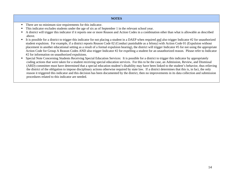- There are no minimum size requirements for this indicator.
- н This indicator excludes students under the age of six as of September 1 in the relevant school year.
- Г A district will trigger this indicator if it reports one or more Reason and Action Codes in a combination other than what is allowable as described above.
- It is possible for a district to trigger this indicator for not placing a student in a DAEP when required and also trigger Indicator #2 for unauthorized student expulsion. For example, if a district reports Reason Code 02 (Conduct punishable as a felony) with Action Code 01 (Expulsion without placement in another educational setting as a result of a formal expulsion hearing), the district will trigger Indicator #5 for not using the appropriate Action Code for Group A Reason Codes AND also trigger Indicator #2 for expelling a student for an unauthorized reason. Please refer to Indicator #2 for information on unauthorized expulsions.
- Special Note Concerning Students Receiving Special Education Services: It is possible for a district to trigger this indicator by appropriately coding actions that were taken for a student receiving special education services. For this to be the case, an Admission, Review, and Dismissal (ARD) committee must have determined that a special education student's disability may have been linked to the student's behavior, thus relieving the district of the obligation to impose disciplinary actions otherwise required by state law. If a district determines that this is, in fact, the only reason it triggered this indicator and this decision has been documented by the district, then no improvements in its data collection and submission procedures related to this indicator are needed.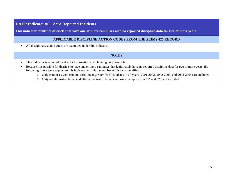### **DAEP Indicator #6: Zero Reported Incidents**

**This indicator identifies districts that have one or more campuses with no reported discipline data for two or more years.** 

#### **APPLICABLE DISCIPLINE ACTION CODES FROM THE PEIMS 425 RECORD**

•All disciplinary action codes are examined under this indicator.

- $\blacksquare$ This indicator is reported for district information and planning purposes only.
- $\blacksquare$  Because it is possible for districts to have one or more campuses that legitimately have no reported discipline data for two or more years, the following filters were applied to this indicator to limit the number of districts identified:
	- o Only campuses with campus enrollment greater than 9 students in all years (2001-2002, 2002-2003, and 2003-2004) are included.
	- o Only regular instructional and alternative instructional campuses (campus types "1" and "2") are included.